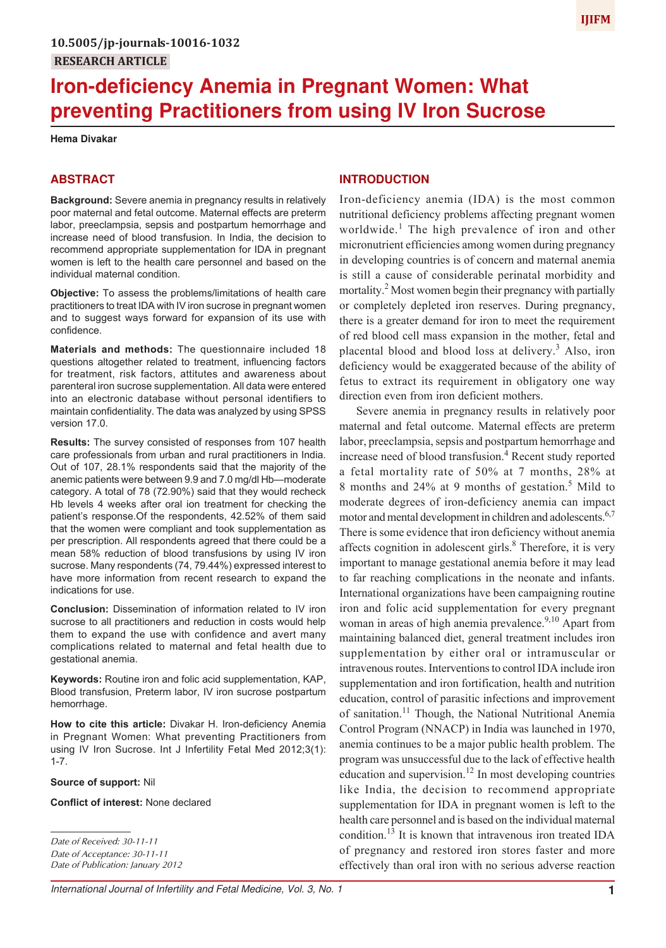# **Iron-deficiency Anemia in Pregnant Women: What preventing Practitioners from using IV Iron Sucrose**

#### **Hema Divakar**

# **ABSTRACT**

**Background:** Severe anemia in pregnancy results in relatively poor maternal and fetal outcome. Maternal effects are preterm labor, preeclampsia, sepsis and postpartum hemorrhage and increase need of blood transfusion. In India, the decision to recommend appropriate supplementation for IDA in pregnant women is left to the health care personnel and based on the individual maternal condition.

**Objective:** To assess the problems/limitations of health care practitioners to treat IDA with IV iron sucrose in pregnant women and to suggest ways forward for expansion of its use with confidence.

**Materials and methods:** The questionnaire included 18 questions altogether related to treatment, influencing factors for treatment, risk factors, attitutes and awareness about parenteral iron sucrose supplementation. All data were entered into an electronic database without personal identifiers to maintain confidentiality. The data was analyzed by using SPSS version 17.0.

**Results:** The survey consisted of responses from 107 health care professionals from urban and rural practitioners in India. Out of 107, 28.1% respondents said that the majority of the anemic patients were between 9.9 and 7.0 mg/dl Hb—moderate category. A total of 78 (72.90%) said that they would recheck Hb levels 4 weeks after oral ion treatment for checking the patient's response.Of the respondents, 42.52% of them said that the women were compliant and took supplementation as per prescription. All respondents agreed that there could be a mean 58% reduction of blood transfusions by using IV iron sucrose. Many respondents (74, 79.44%) expressed interest to have more information from recent research to expand the indications for use.

**Conclusion:** Dissemination of information related to IV iron sucrose to all practitioners and reduction in costs would help them to expand the use with confidence and avert many complications related to maternal and fetal health due to gestational anemia.

**Keywords:** Routine iron and folic acid supplementation, KAP, Blood transfusion, Preterm labor, IV iron sucrose postpartum hemorrhage.

**How to cite this article:** Divakar H. Iron-deficiency Anemia in Pregnant Women: What preventing Practitioners from using IV Iron Sucrose. Int J Infertility Fetal Med 2012;3(1): 1-7.

#### **Source of support:** Nil

**Conflict of interest:** None declared

#### **INTRODUCTION**

Iron-deficiency anemia (IDA) is the most common nutritional deficiency problems affecting pregnant women worldwide.<sup>1</sup> The high prevalence of iron and other micronutrient efficiencies among women during pregnancy in developing countries is of concern and maternal anemia is still a cause of considerable perinatal morbidity and mortality.<sup>2</sup> Most women begin their pregnancy with partially or completely depleted iron reserves. During pregnancy, there is a greater demand for iron to meet the requirement of red blood cell mass expansion in the mother, fetal and placental blood and blood loss at delivery.<sup>3</sup> Also, iron deficiency would be exaggerated because of the ability of fetus to extract its requirement in obligatory one way direction even from iron deficient mothers.

Severe anemia in pregnancy results in relatively poor maternal and fetal outcome. Maternal effects are preterm labor, preeclampsia, sepsis and postpartum hemorrhage and increase need of blood transfusion.<sup>4</sup> Recent study reported a fetal mortality rate of 50% at 7 months, 28% at 8 months and 24% at 9 months of gestation.<sup>5</sup> Mild to moderate degrees of iron-deficiency anemia can impact motor and mental development in children and adolescents.<sup>6,7</sup> There is some evidence that iron deficiency without anemia affects cognition in adolescent girls.<sup>8</sup> Therefore, it is very important to manage gestational anemia before it may lead to far reaching complications in the neonate and infants. International organizations have been campaigning routine iron and folic acid supplementation for every pregnant woman in areas of high anemia prevalence.<sup>9,10</sup> Apart from maintaining balanced diet, general treatment includes iron supplementation by either oral or intramuscular or intravenous routes. Interventions to control IDA include iron supplementation and iron fortification, health and nutrition education, control of parasitic infections and improvement of sanitation.<sup>11</sup> Though, the National Nutritional Anemia Control Program (NNACP) in India was launched in 1970, anemia continues to be a major public health problem. The program was unsuccessful due to the lack of effective health education and supervision.<sup>12</sup> In most developing countries like India, the decision to recommend appropriate supplementation for IDA in pregnant women is left to the health care personnel and is based on the individual maternal condition.<sup>13</sup> It is known that intravenous iron treated IDA of pregnancy and restored iron stores faster and more effectively than oral iron with no serious adverse reaction

*Date of Received: 30-11-11 Date of Acceptance: 30-11-11 Date of Publication: January 2012*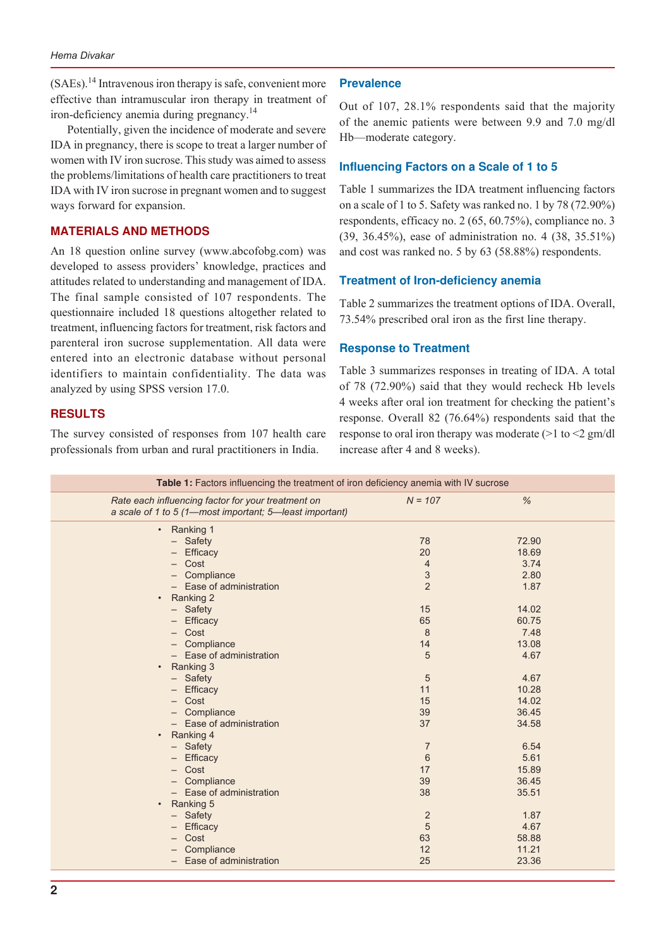$(SAEs)$ .<sup>14</sup> Intravenous iron therapy is safe, convenient more effective than intramuscular iron therapy in treatment of iron-deficiency anemia during pregnancy.<sup>14</sup>

Potentially, given the incidence of moderate and severe IDA in pregnancy, there is scope to treat a larger number of women with IV iron sucrose. This study was aimed to assess the problems/limitations of health care practitioners to treat IDA with IV iron sucrose in pregnant women and to suggest ways forward for expansion.

# **MATERIALS AND METHODS**

An 18 question online survey (www.abcofobg.com) was developed to assess providers' knowledge, practices and attitudes related to understanding and management of IDA. The final sample consisted of 107 respondents. The questionnaire included 18 questions altogether related to treatment, influencing factors for treatment, risk factors and parenteral iron sucrose supplementation. All data were entered into an electronic database without personal identifiers to maintain confidentiality. The data was analyzed by using SPSS version 17.0.

# **RESULTS**

The survey consisted of responses from 107 health care professionals from urban and rural practitioners in India.

# **Prevalence**

Out of 107, 28.1% respondents said that the majority of the anemic patients were between 9.9 and 7.0 mg/dl Hb—moderate category.

## **Influencing Factors on a Scale of 1 to 5**

Table 1 summarizes the IDA treatment influencing factors on a scale of 1 to 5. Safety was ranked no. 1 by 78 (72.90%) respondents, efficacy no. 2 (65, 60.75%), compliance no. 3 (39, 36.45%), ease of administration no. 4 (38, 35.51%) and cost was ranked no. 5 by 63 (58.88%) respondents.

## **Treatment of Iron-deficiency anemia**

Table 2 summarizes the treatment options of IDA. Overall, 73.54% prescribed oral iron as the first line therapy.

#### **Response to Treatment**

Table 3 summarizes responses in treating of IDA. A total of 78 (72.90%) said that they would recheck Hb levels 4 weeks after oral ion treatment for checking the patient's response. Overall 82 (76.64%) respondents said that the response to oral iron therapy was moderate (>1 to <2 gm/dl increase after 4 and 8 weeks).

| $\frac{9}{6}$<br>Rate each influencing factor for your treatment on<br>$N = 107$<br>a scale of 1 to 5 (1-most important; 5-least important)<br>Ranking 1<br>$\bullet$<br>- Safety<br>78<br>72.90<br>18.69<br>Efficacy<br>20<br>Cost<br>3.74<br>$\overline{4}$<br>$\sqrt{3}$<br>2.80<br>Compliance<br>$\overline{2}$<br>- Ease of administration<br>1.87<br>Ranking 2<br>$\bullet$<br>$-$ Safety<br>15<br>14.02<br>65<br>- Efficacy<br>60.75<br>- Cost<br>8<br>7.48<br>- Compliance<br>14<br>13.08<br>- Ease of administration<br>5<br>4.67<br>• Ranking 3<br>4.67<br>- Safety<br>5<br>10.28<br>- Efficacy<br>11<br>- Cost<br>14.02<br>15<br>36.45<br>39<br>- Compliance<br>- Ease of administration<br>37<br>34.58<br>Ranking 4<br>6.54<br>- Safety<br>$\overline{7}$<br>6<br>5.61<br>Efficacy<br>15.89<br>Cost<br>17<br>- Compliance<br>39<br>36.45<br>$-$ Ease of administration<br>38<br>35.51<br>Ranking 5<br>$\bullet$<br>2<br>- Safety<br>1.87<br>4.67<br>Efficacy<br>5<br>Cost<br>63<br>58.88<br>Compliance<br>12<br>11.21<br>$-$ Ease of administration<br>25<br>23.36 | <b>Table 1:</b> Factors influencing the treatment of iron deficiency anemia with IV sucrose |  |  |
|--------------------------------------------------------------------------------------------------------------------------------------------------------------------------------------------------------------------------------------------------------------------------------------------------------------------------------------------------------------------------------------------------------------------------------------------------------------------------------------------------------------------------------------------------------------------------------------------------------------------------------------------------------------------------------------------------------------------------------------------------------------------------------------------------------------------------------------------------------------------------------------------------------------------------------------------------------------------------------------------------------------------------------------------------------------------------------|---------------------------------------------------------------------------------------------|--|--|
|                                                                                                                                                                                                                                                                                                                                                                                                                                                                                                                                                                                                                                                                                                                                                                                                                                                                                                                                                                                                                                                                                |                                                                                             |  |  |
|                                                                                                                                                                                                                                                                                                                                                                                                                                                                                                                                                                                                                                                                                                                                                                                                                                                                                                                                                                                                                                                                                |                                                                                             |  |  |
|                                                                                                                                                                                                                                                                                                                                                                                                                                                                                                                                                                                                                                                                                                                                                                                                                                                                                                                                                                                                                                                                                |                                                                                             |  |  |
|                                                                                                                                                                                                                                                                                                                                                                                                                                                                                                                                                                                                                                                                                                                                                                                                                                                                                                                                                                                                                                                                                |                                                                                             |  |  |
|                                                                                                                                                                                                                                                                                                                                                                                                                                                                                                                                                                                                                                                                                                                                                                                                                                                                                                                                                                                                                                                                                |                                                                                             |  |  |
|                                                                                                                                                                                                                                                                                                                                                                                                                                                                                                                                                                                                                                                                                                                                                                                                                                                                                                                                                                                                                                                                                |                                                                                             |  |  |
|                                                                                                                                                                                                                                                                                                                                                                                                                                                                                                                                                                                                                                                                                                                                                                                                                                                                                                                                                                                                                                                                                |                                                                                             |  |  |
|                                                                                                                                                                                                                                                                                                                                                                                                                                                                                                                                                                                                                                                                                                                                                                                                                                                                                                                                                                                                                                                                                |                                                                                             |  |  |
|                                                                                                                                                                                                                                                                                                                                                                                                                                                                                                                                                                                                                                                                                                                                                                                                                                                                                                                                                                                                                                                                                |                                                                                             |  |  |
|                                                                                                                                                                                                                                                                                                                                                                                                                                                                                                                                                                                                                                                                                                                                                                                                                                                                                                                                                                                                                                                                                |                                                                                             |  |  |
|                                                                                                                                                                                                                                                                                                                                                                                                                                                                                                                                                                                                                                                                                                                                                                                                                                                                                                                                                                                                                                                                                |                                                                                             |  |  |
|                                                                                                                                                                                                                                                                                                                                                                                                                                                                                                                                                                                                                                                                                                                                                                                                                                                                                                                                                                                                                                                                                |                                                                                             |  |  |
|                                                                                                                                                                                                                                                                                                                                                                                                                                                                                                                                                                                                                                                                                                                                                                                                                                                                                                                                                                                                                                                                                |                                                                                             |  |  |
|                                                                                                                                                                                                                                                                                                                                                                                                                                                                                                                                                                                                                                                                                                                                                                                                                                                                                                                                                                                                                                                                                |                                                                                             |  |  |
|                                                                                                                                                                                                                                                                                                                                                                                                                                                                                                                                                                                                                                                                                                                                                                                                                                                                                                                                                                                                                                                                                |                                                                                             |  |  |
|                                                                                                                                                                                                                                                                                                                                                                                                                                                                                                                                                                                                                                                                                                                                                                                                                                                                                                                                                                                                                                                                                |                                                                                             |  |  |
|                                                                                                                                                                                                                                                                                                                                                                                                                                                                                                                                                                                                                                                                                                                                                                                                                                                                                                                                                                                                                                                                                |                                                                                             |  |  |
|                                                                                                                                                                                                                                                                                                                                                                                                                                                                                                                                                                                                                                                                                                                                                                                                                                                                                                                                                                                                                                                                                |                                                                                             |  |  |
|                                                                                                                                                                                                                                                                                                                                                                                                                                                                                                                                                                                                                                                                                                                                                                                                                                                                                                                                                                                                                                                                                |                                                                                             |  |  |
|                                                                                                                                                                                                                                                                                                                                                                                                                                                                                                                                                                                                                                                                                                                                                                                                                                                                                                                                                                                                                                                                                |                                                                                             |  |  |
|                                                                                                                                                                                                                                                                                                                                                                                                                                                                                                                                                                                                                                                                                                                                                                                                                                                                                                                                                                                                                                                                                |                                                                                             |  |  |
|                                                                                                                                                                                                                                                                                                                                                                                                                                                                                                                                                                                                                                                                                                                                                                                                                                                                                                                                                                                                                                                                                |                                                                                             |  |  |
|                                                                                                                                                                                                                                                                                                                                                                                                                                                                                                                                                                                                                                                                                                                                                                                                                                                                                                                                                                                                                                                                                |                                                                                             |  |  |
|                                                                                                                                                                                                                                                                                                                                                                                                                                                                                                                                                                                                                                                                                                                                                                                                                                                                                                                                                                                                                                                                                |                                                                                             |  |  |
|                                                                                                                                                                                                                                                                                                                                                                                                                                                                                                                                                                                                                                                                                                                                                                                                                                                                                                                                                                                                                                                                                |                                                                                             |  |  |
|                                                                                                                                                                                                                                                                                                                                                                                                                                                                                                                                                                                                                                                                                                                                                                                                                                                                                                                                                                                                                                                                                |                                                                                             |  |  |
|                                                                                                                                                                                                                                                                                                                                                                                                                                                                                                                                                                                                                                                                                                                                                                                                                                                                                                                                                                                                                                                                                |                                                                                             |  |  |
|                                                                                                                                                                                                                                                                                                                                                                                                                                                                                                                                                                                                                                                                                                                                                                                                                                                                                                                                                                                                                                                                                |                                                                                             |  |  |
|                                                                                                                                                                                                                                                                                                                                                                                                                                                                                                                                                                                                                                                                                                                                                                                                                                                                                                                                                                                                                                                                                |                                                                                             |  |  |
|                                                                                                                                                                                                                                                                                                                                                                                                                                                                                                                                                                                                                                                                                                                                                                                                                                                                                                                                                                                                                                                                                |                                                                                             |  |  |
|                                                                                                                                                                                                                                                                                                                                                                                                                                                                                                                                                                                                                                                                                                                                                                                                                                                                                                                                                                                                                                                                                |                                                                                             |  |  |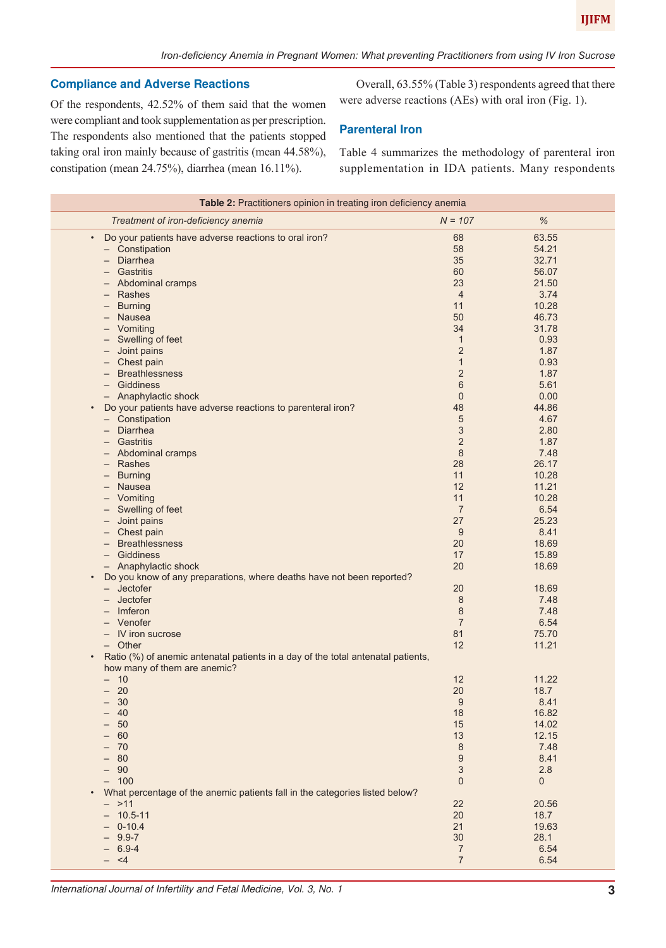# **Compliance and Adverse Reactions**

Of the respondents, 42.52% of them said that the women were compliant and took supplementation as per prescription. The respondents also mentioned that the patients stopped taking oral iron mainly because of gastritis (mean 44.58%), constipation (mean 24.75%), diarrhea (mean 16.11%).

Overall, 63.55% (Table 3) respondents agreed that there were adverse reactions (AEs) with oral iron (Fig. 1).

# **Parenteral Iron**

Table 4 summarizes the methodology of parenteral iron supplementation in IDA patients. Many respondents

| Table 2: Practitioners opinion in treating iron deficiency anemia                             |                           |       |  |
|-----------------------------------------------------------------------------------------------|---------------------------|-------|--|
| Treatment of iron-deficiency anemia                                                           | $N = 107$                 | $\%$  |  |
| Do your patients have adverse reactions to oral iron?<br>$\bullet$                            | 68                        | 63.55 |  |
| - Constipation                                                                                | 58                        | 54.21 |  |
| - Diarrhea                                                                                    | 35                        | 32.71 |  |
| - Gastritis                                                                                   | 60                        | 56.07 |  |
| - Abdominal cramps                                                                            | 23                        | 21.50 |  |
| - Rashes                                                                                      | $\overline{4}$            | 3.74  |  |
| <b>Burning</b><br>$\qquad \qquad -$                                                           | 11                        | 10.28 |  |
| - Nausea                                                                                      | 50                        | 46.73 |  |
| - Vomiting                                                                                    | 34                        | 31.78 |  |
| Swelling of feet                                                                              | $\mathbf{1}$              | 0.93  |  |
| - Joint pains                                                                                 | $\overline{2}$            | 1.87  |  |
| Chest pain<br>$-$                                                                             | $\mathbf{1}$              | 0.93  |  |
| <b>Breathlessness</b>                                                                         | $\overline{2}$            | 1.87  |  |
| Giddiness<br>$-$                                                                              | 6                         | 5.61  |  |
| - Anaphylactic shock                                                                          | $\theta$                  | 0.00  |  |
| Do your patients have adverse reactions to parenteral iron?<br>$\bullet$                      | 48                        | 44.86 |  |
| - Constipation                                                                                | 5                         | 4.67  |  |
| - Diarrhea                                                                                    | $\sqrt{3}$                | 2.80  |  |
| Gastritis<br>$-$                                                                              | $\mathbf 2$               | 1.87  |  |
| - Abdominal cramps                                                                            | 8                         | 7.48  |  |
| - Rashes                                                                                      | 28                        | 26.17 |  |
|                                                                                               | 11                        | 10.28 |  |
| <b>Burning</b><br>$-$                                                                         |                           |       |  |
| <b>Nausea</b><br>$-$                                                                          | 12                        | 11.21 |  |
| - Vomiting                                                                                    | 11                        | 10.28 |  |
| - Swelling of feet                                                                            | $\overline{7}$            | 6.54  |  |
| Joint pains                                                                                   | 27                        | 25.23 |  |
| - Chest pain                                                                                  | 9                         | 8.41  |  |
| <b>Breathlessness</b><br>$-$                                                                  | 20                        | 18.69 |  |
| - Giddiness                                                                                   | 17                        | 15.89 |  |
| - Anaphylactic shock                                                                          | 20                        | 18.69 |  |
| Do you know of any preparations, where deaths have not been reported?<br>$\bullet$            |                           |       |  |
| $-$ Jectofer                                                                                  | 20                        | 18.69 |  |
| $-$ Jectofer                                                                                  | 8                         | 7.48  |  |
| $-$ Imferon                                                                                   | 8                         | 7.48  |  |
| - Venofer                                                                                     | $\overline{7}$            | 6.54  |  |
| - IV iron sucrose                                                                             | 81                        | 75.70 |  |
| - Other                                                                                       | 12                        | 11.21 |  |
| Ratio (%) of anemic antenatal patients in a day of the total antenatal patients,<br>$\bullet$ |                           |       |  |
| how many of them are anemic?                                                                  |                           |       |  |
| $-10$                                                                                         | 12                        | 11.22 |  |
| $-20$                                                                                         | 20                        | 18.7  |  |
| 30<br>$-$                                                                                     | 9                         | 8.41  |  |
| 40                                                                                            | 18                        | 16.82 |  |
| 50                                                                                            | 15                        | 14.02 |  |
| 60                                                                                            | 13                        | 12.15 |  |
| 70                                                                                            | 8                         | 7.48  |  |
| 80                                                                                            | $\boldsymbol{9}$          | 8.41  |  |
| 90<br>$\overline{\phantom{0}}$                                                                | $\ensuremath{\mathsf{3}}$ | 2.8   |  |
| $- 100$                                                                                       | $\mathbf 0$               | 0     |  |
| What percentage of the anemic patients fall in the categories listed below?                   |                           |       |  |
| $- >11$                                                                                       | 22                        | 20.56 |  |
| $-10.5 - 11$                                                                                  | 20                        | 18.7  |  |
|                                                                                               | 21                        |       |  |
| $-0-10.4$                                                                                     |                           | 19.63 |  |
| $-9.9 - 7$                                                                                    | 30                        | 28.1  |  |
| $-6.9-4$                                                                                      | 7                         | 6.54  |  |
| $- < 4$                                                                                       | $\overline{7}$            | 6.54  |  |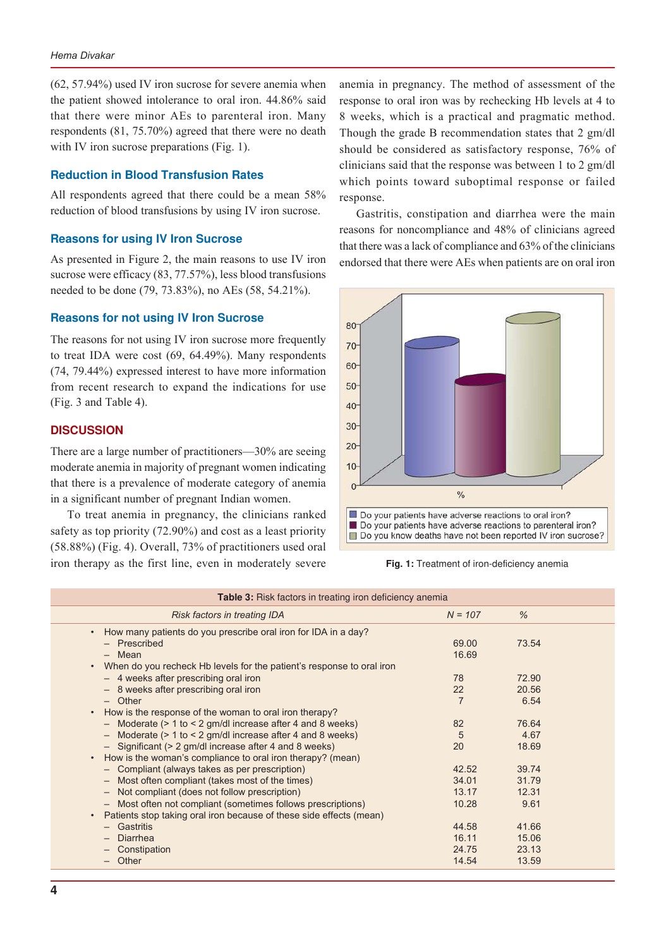(62, 57.94%) used IV iron sucrose for severe anemia when the patient showed intolerance to oral iron. 44.86% said that there were minor AEs to parenteral iron. Many respondents (81, 75.70%) agreed that there were no death with IV iron sucrose preparations (Fig. 1).

## **Reduction in Blood Transfusion Rates**

All respondents agreed that there could be a mean 58% reduction of blood transfusions by using IV iron sucrose.

## **Reasons for using IV Iron Sucrose**

As presented in Figure 2, the main reasons to use IV iron sucrose were efficacy (83, 77.57%), less blood transfusions needed to be done (79, 73.83%), no AEs (58, 54.21%).

#### **Reasons for not using IV Iron Sucrose**

The reasons for not using IV iron sucrose more frequently to treat IDA were cost (69, 64.49%). Many respondents (74, 79.44%) expressed interest to have more information from recent research to expand the indications for use (Fig. 3 and Table 4).

# **DISCUSSION**

There are a large number of practitioners—30% are seeing moderate anemia in majority of pregnant women indicating that there is a prevalence of moderate category of anemia in a significant number of pregnant Indian women.

To treat anemia in pregnancy, the clinicians ranked safety as top priority (72.90%) and cost as a least priority (58.88%) (Fig. 4). Overall, 73% of practitioners used oral iron therapy as the first line, even in moderately severe **Fig. 1:** Treatment of iron-deficiency anemia

anemia in pregnancy. The method of assessment of the response to oral iron was by rechecking Hb levels at 4 to 8 weeks, which is a practical and pragmatic method. Though the grade B recommendation states that 2 gm/dl should be considered as satisfactory response, 76% of clinicians said that the response was between 1 to 2 gm/dl which points toward suboptimal response or failed response.

Gastritis, constipation and diarrhea were the main reasons for noncompliance and 48% of clinicians agreed that there was a lack of compliance and 63% of the clinicians endorsed that there were AEs when patients are on oral iron



| <b>Table 3:</b> Risk factors in treating iron deficiency anemia                                                                                                                                                                                                                                                                                                                                                                                                                                                                                                                                                                                                                                                                   |                                                                                 |                                                                             |  |
|-----------------------------------------------------------------------------------------------------------------------------------------------------------------------------------------------------------------------------------------------------------------------------------------------------------------------------------------------------------------------------------------------------------------------------------------------------------------------------------------------------------------------------------------------------------------------------------------------------------------------------------------------------------------------------------------------------------------------------------|---------------------------------------------------------------------------------|-----------------------------------------------------------------------------|--|
| Risk factors in treating IDA                                                                                                                                                                                                                                                                                                                                                                                                                                                                                                                                                                                                                                                                                                      | $N = 107$                                                                       | $\%$                                                                        |  |
| • How many patients do you prescribe oral iron for IDA in a day?<br>- Prescribed<br>- Mean<br>When do you recheck Hb levels for the patient's response to oral iron<br>$\bullet$<br>- 4 weeks after prescribing oral iron<br>- 8 weeks after prescribing oral iron<br>$-$ Other<br>How is the response of the woman to oral iron therapy?<br>$\bullet$<br>- Moderate $(> 1$ to $< 2$ gm/dl increase after 4 and 8 weeks)<br>- Moderate (> 1 to < 2 gm/dl increase after 4 and 8 weeks)<br>- Significant (> 2 gm/dl increase after 4 and 8 weeks)<br>How is the woman's compliance to oral iron therapy? (mean)<br>$\bullet$<br>- Compliant (always takes as per prescription)<br>- Most often compliant (takes most of the times) | 69.00<br>16.69<br>78<br>22<br>$\overline{7}$<br>82<br>5<br>20<br>42.52<br>34.01 | 73.54<br>72.90<br>20.56<br>6.54<br>76.64<br>4.67<br>18.69<br>39.74<br>31.79 |  |
| - Not compliant (does not follow prescription)<br>- Most often not compliant (sometimes follows prescriptions)<br>Patients stop taking oral iron because of these side effects (mean)<br>$\bullet$<br>- Gastritis<br>$-$ Diarrhea<br>- Constipation<br>$-$ Other                                                                                                                                                                                                                                                                                                                                                                                                                                                                  | 13.17<br>10.28<br>44.58<br>16.11<br>24.75<br>14.54                              | 12.31<br>9.61<br>41.66<br>15.06<br>23.13<br>13.59                           |  |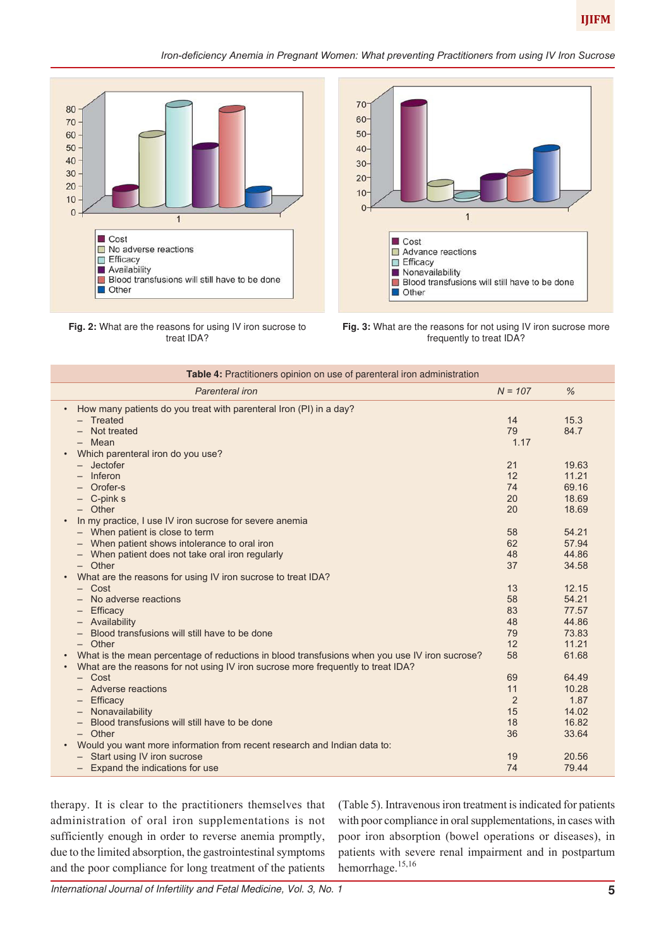

## *Iron-deficiency Anemia in Pregnant Women: What preventing Practitioners from using IV Iron Sucrose*



**Fig. 2:** What are the reasons for using IV iron sucrose to treat IDA?



**Fig. 3:** What are the reasons for not using IV iron sucrose more frequently to treat IDA?

| Table 4: Practitioners opinion on use of parenteral iron administration                       |           |       |  |
|-----------------------------------------------------------------------------------------------|-----------|-------|--|
| Parenteral iron                                                                               | $N = 107$ | $\%$  |  |
| How many patients do you treat with parenteral Iron (PI) in a day?                            |           |       |  |
| - Treated                                                                                     | 14        | 15.3  |  |
| - Not treated                                                                                 | 79        | 84.7  |  |
| - Mean                                                                                        | 1.17      |       |  |
| Which parenteral iron do you use?                                                             |           |       |  |
| $-$ Jectofer                                                                                  | 21        | 19.63 |  |
| Inferon                                                                                       | 12        | 11.21 |  |
| Orofer-s                                                                                      | 74        | 69.16 |  |
| $-$ C-pink s                                                                                  | 20        | 18.69 |  |
| - Other                                                                                       | 20        | 18.69 |  |
| In my practice, I use IV iron sucrose for severe anemia                                       |           |       |  |
| - When patient is close to term                                                               | 58        | 54.21 |  |
| - When patient shows intolerance to oral iron                                                 | 62        | 57.94 |  |
| When patient does not take oral iron regularly<br>$\qquad \qquad -$                           | 48        | 44.86 |  |
| - Other                                                                                       | 37        | 34.58 |  |
| What are the reasons for using IV iron sucrose to treat IDA?                                  |           |       |  |
| $-$ Cost                                                                                      | 13        | 12.15 |  |
| No adverse reactions                                                                          | 58        | 54.21 |  |
| Efficacy<br>-                                                                                 | 83        | 77.57 |  |
| - Availability                                                                                | 48        | 44.86 |  |
| Blood transfusions will still have to be done                                                 | 79        | 73.83 |  |
| - Other                                                                                       | 12        | 11.21 |  |
| What is the mean percentage of reductions in blood transfusions when you use IV iron sucrose? | 58        | 61.68 |  |
| What are the reasons for not using IV iron sucrose more frequently to treat IDA?              |           |       |  |
| $-$ Cost                                                                                      | 69        | 64.49 |  |
| - Adverse reactions                                                                           | 11        | 10.28 |  |
| Efficacy<br>$\qquad \qquad -$                                                                 | 2         | 1.87  |  |
| Nonavailability<br>$\qquad \qquad -$                                                          | 15        | 14.02 |  |
| Blood transfusions will still have to be done                                                 | 18        | 16.82 |  |
| $-$ Other                                                                                     | 36        | 33.64 |  |
| Would you want more information from recent research and Indian data to:                      |           |       |  |
| - Start using IV iron sucrose                                                                 | 19        | 20.56 |  |
| - Expand the indications for use                                                              | 74        | 79.44 |  |

therapy. It is clear to the practitioners themselves that administration of oral iron supplementations is not sufficiently enough in order to reverse anemia promptly, due to the limited absorption, the gastrointestinal symptoms and the poor compliance for long treatment of the patients

(Table 5). Intravenous iron treatment is indicated for patients with poor compliance in oral supplementations, in cases with poor iron absorption (bowel operations or diseases), in patients with severe renal impairment and in postpartum hemorrhage.<sup>15,16</sup>

International Journal of Infertility and Fetal Medicine, Vol. 3, No. 1 **5**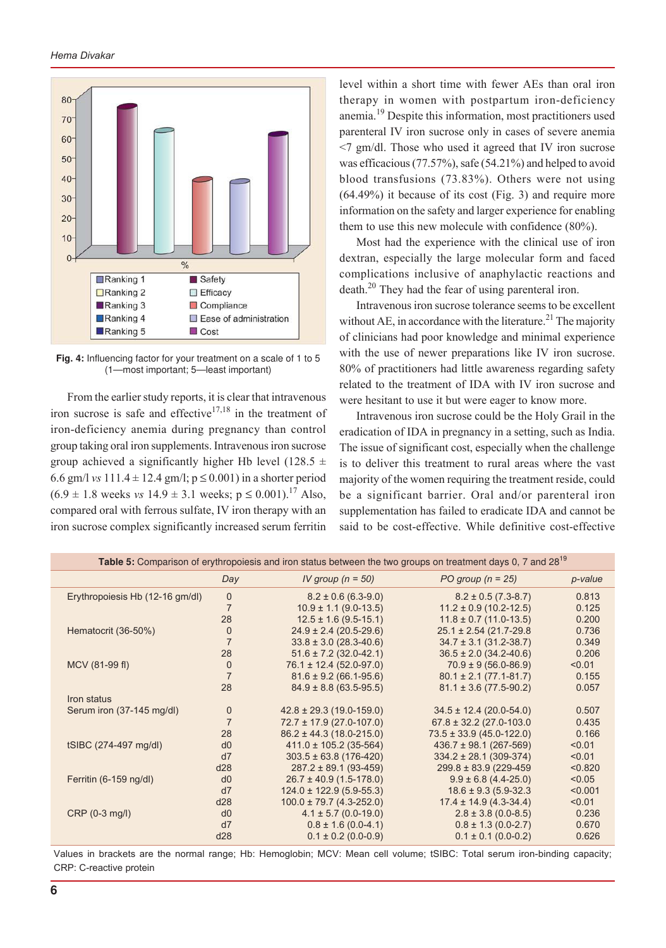

**Fig. 4:** Influencing factor for your treatment on a scale of 1 to 5 (1—most important; 5—least important)

From the earlier study reports, it is clear that intravenous iron sucrose is safe and effective<sup>17,18</sup> in the treatment of iron-deficiency anemia during pregnancy than control group taking oral iron supplements. Intravenous iron sucrose group achieved a significantly higher Hb level (128.5  $\pm$ 6.6 gm/l *vs*  $111.4 \pm 12.4$  gm/l;  $p \le 0.001$ ) in a shorter period  $(6.9 \pm 1.8 \text{ weeks} \text{ vs } 14.9 \pm 3.1 \text{ weeks}; \text{ p} \leq 0.001).^{17} \text{ Also},$ compared oral with ferrous sulfate, IV iron therapy with an iron sucrose complex significantly increased serum ferritin

level within a short time with fewer AEs than oral iron therapy in women with postpartum iron-deficiency anemia.19 Despite this information, most practitioners used parenteral IV iron sucrose only in cases of severe anemia <7 gm/dl. Those who used it agreed that IV iron sucrose was efficacious (77.57%), safe (54.21%) and helped to avoid blood transfusions (73.83%). Others were not using (64.49%) it because of its cost (Fig. 3) and require more information on the safety and larger experience for enabling them to use this new molecule with confidence (80%).

Most had the experience with the clinical use of iron dextran, especially the large molecular form and faced complications inclusive of anaphylactic reactions and death.20 They had the fear of using parenteral iron.

Intravenous iron sucrose tolerance seems to be excellent without AE, in accordance with the literature.<sup>21</sup> The majority of clinicians had poor knowledge and minimal experience with the use of newer preparations like IV iron sucrose. 80% of practitioners had little awareness regarding safety related to the treatment of IDA with IV iron sucrose and were hesitant to use it but were eager to know more.

Intravenous iron sucrose could be the Holy Grail in the eradication of IDA in pregnancy in a setting, such as India. The issue of significant cost, especially when the challenge is to deliver this treatment to rural areas where the vast majority of the women requiring the treatment reside, could be a significant barrier. Oral and/or parenteral iron supplementation has failed to eradicate IDA and cannot be said to be cost-effective. While definitive cost-effective

| Day            | IV group ( $n = 50$ )          | PO group $(n = 25)$                                      | p-value                    |
|----------------|--------------------------------|----------------------------------------------------------|----------------------------|
| $\mathbf 0$    | $8.2 \pm 0.6$ (6.3-9.0)        | $8.2 \pm 0.5$ (7.3-8.7)                                  | 0.813                      |
|                | $10.9 \pm 1.1$ (9.0-13.5)      | $11.2 \pm 0.9$ (10.2-12.5)                               | 0.125                      |
| 28             | $12.5 \pm 1.6$ (9.5-15.1)      | $11.8 \pm 0.7$ (11.0-13.5)                               | 0.200                      |
| $\mathbf 0$    |                                | $25.1 \pm 2.54$ (21.7-29.8)                              | 0.736                      |
| $\overline{7}$ | $33.8 \pm 3.0$ (28.3-40.6)     | $34.7 \pm 3.1$ (31.2-38.7)                               | 0.349                      |
| 28             |                                |                                                          | 0.206                      |
| $\mathbf 0$    | $76.1 \pm 12.4 (52.0 - 97.0)$  | $70.9 \pm 9(56.0 - 86.9)$                                | < 0.01                     |
| $\overline{7}$ | $81.6 \pm 9.2$ (66.1-95.6)     | $80.1 \pm 2.1 (77.1 - 81.7)$                             | 0.155                      |
| 28             | $84.9 \pm 8.8$ (63.5-95.5)     | $81.1 \pm 3.6$ (77.5-90.2)                               | 0.057                      |
|                |                                |                                                          |                            |
| $\theta$       | $42.8 \pm 29.3$ (19.0-159.0)   | $34.5 \pm 12.4$ (20.0-54.0)                              | 0.507                      |
|                | $72.7 \pm 17.9$ (27.0-107.0)   | $67.8 \pm 32.2$ (27.0-103.0)                             | 0.435                      |
| 28             | $86.2 \pm 44.3$ (18.0-215.0)   | $73.5 \pm 33.9$ (45.0-122.0)                             | 0.166                      |
| d0             | $411.0 \pm 105.2$ (35-564)     | $436.7 \pm 98.1$ (267-569)                               | < 0.01                     |
| d7             | $303.5 \pm 63.8$ (176-420)     | $334.2 \pm 28.1$ (309-374)                               | < 0.01                     |
| d28            | $287.2 \pm 89.1 (93 - 459)$    | $299.8 \pm 83.9$ (229-459)                               | < 0.820                    |
| d0             | $26.7 \pm 40.9$ (1.5-178.0)    | $9.9 \pm 6.8$ (4.4-25.0)                                 | < 0.05                     |
| d7             | $124.0 \pm 122.9$ (5.9-55.3)   | $18.6 \pm 9.3$ (5.9-32.3)                                | < 0.001                    |
| d28            | $100.0 \pm 79.7 (4.3 - 252.0)$ | $17.4 \pm 14.9$ (4.3-34.4)                               | < 0.01                     |
| d0             | $4.1 \pm 5.7$ (0.0-19.0)       | $2.8 \pm 3.8$ (0.0-8.5)                                  | 0.236                      |
| d7             | $0.8 \pm 1.6$ (0.0-4.1)        | $0.8 \pm 1.3$ (0.0-2.7)                                  | 0.670                      |
| d28            | $0.1 \pm 0.2$ (0.0-0.9)        | $0.1 \pm 0.1$ (0.0-0.2)                                  | 0.626                      |
|                |                                | $24.9 \pm 2.4$ (20.5-29.6)<br>$51.6 \pm 7.2$ (32.0-42.1) | $36.5 \pm 2.0$ (34.2-40.6) |

Table 5: Comparison of erythropoiesis and iron status between the two groups on treatment days 0, 7 and 28<sup>19</sup>

Values in brackets are the normal range; Hb: Hemoglobin; MCV: Mean cell volume; tSIBC: Total serum iron-binding capacity; CRP: C-reactive protein